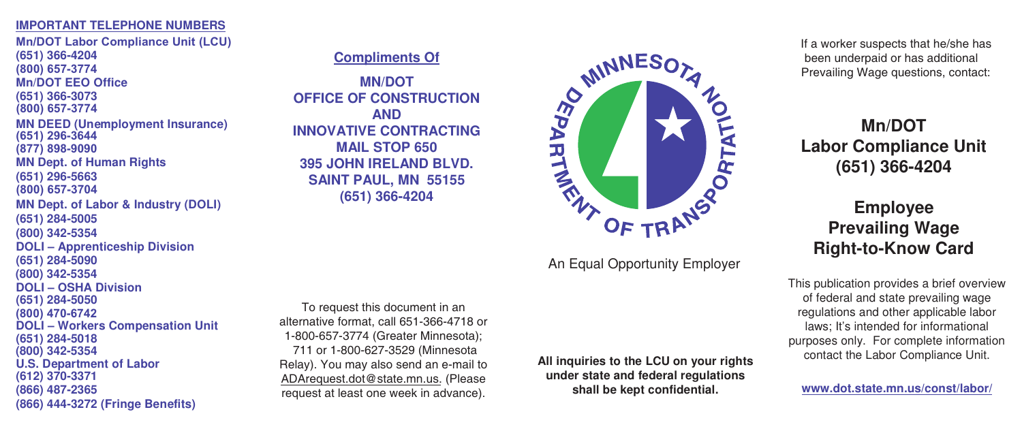## **IMPORTANT TELEPHONE NUMBERS**

**Mn/DOT Labor Compliance Unit (LCU) (651) 366-4204 Mn/DOT EEO Office (651) 366-3073 MN Dept. of Human Rights (651) 296-5663 MN Dept. of Labor & Industry (DOLI) (651) 284-5005 (800) 342-5354 DOLI – Apprenticeship Division (651) 284-5090 DOLI – OSHA Division (651) 284-5050 DOLI – Workers Compensation Unit (651) 284-5018 U.S. Department of Labor (612) 370-3371 (866) 487-2365 (866) 444-3272 (Fringe Benefits) (800) 657-3774 (800) 657-3774 (877) 898-9090 (800) 657-3704 (800) 342-5354 (800) 470-6742 (800) 342-5354 (651) 296-3644 MN DEED (Unemployment Insurance)**

## **Compliments Of**

**MN/DOT OFFICE OF CONSTRUCTION AND INNOVATIVE CONTRACTING MAIL STOP 650 395 JOHN IRELAND BLVD. SAINT PAUL, MN 55155 (651) 366-4204**

To request this document in an alternative format, call 651-366-4718 or 1-800-657-3774 (Greater Minnesota); 711 or 1-800-627-3529 (Minnesota Relay). You may also send an e-mail to ADArequest.dot@state.mn.us. (Please request at least one week in advance).



An Equal Opportunity Employer

**All inquiries to the LCU on your rights under state and federal regulations shall be kept confidential.**

If a worker suspects that he/she has been underpaid or has additional Prevailing Wage questions, contact:

**Mn/DOT Labor Compliance Unit (651) 366-4204**

## **Employee Prevailing Wage Right-to-Know Card**

This publication provides a brief overview of federal and state prevailing wage regulations and other applicable labor laws; It's intended for informational purposes only. For complete information contact the Labor Compliance Unit.

**www.dot.state.mn.us/const/labor/**